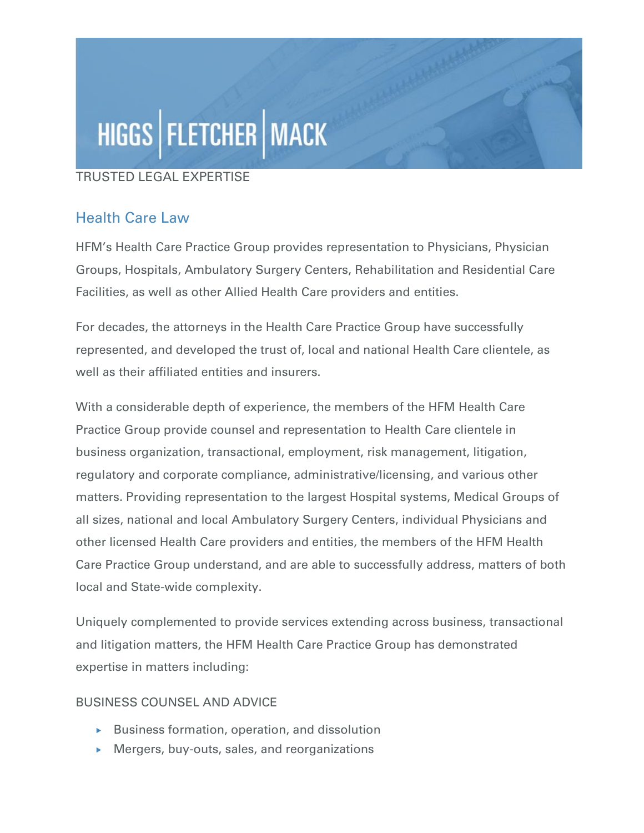# HIGGS | FLETCHER | MACK

#### TRUSTED LEGAL EXPERTISE

### Health Care Law

HFM's Health Care Practice Group provides representation to Physicians, Physician Groups, Hospitals, Ambulatory Surgery Centers, Rehabilitation and Residential Care Facilities, as well as other Allied Health Care providers and entities.

For decades, the attorneys in the Health Care Practice Group have successfully represented, and developed the trust of, local and national Health Care clientele, as well as their affiliated entities and insurers.

With a considerable depth of experience, the members of the HFM Health Care Practice Group provide counsel and representation to Health Care clientele in business organization, transactional, employment, risk management, litigation, regulatory and corporate compliance, administrative/licensing, and various other matters. Providing representation to the largest Hospital systems, Medical Groups of all sizes, national and local Ambulatory Surgery Centers, individual Physicians and other licensed Health Care providers and entities, the members of the HFM Health Care Practice Group understand, and are able to successfully address, matters of both local and State-wide complexity.

Uniquely complemented to provide services extending across business, transactional and litigation matters, the HFM Health Care Practice Group has demonstrated expertise in matters including:

#### BUSINESS COUNSEL AND ADVICE

- $\triangleright$  Business formation, operation, and dissolution
- Mergers, buy-outs, sales, and reorganizations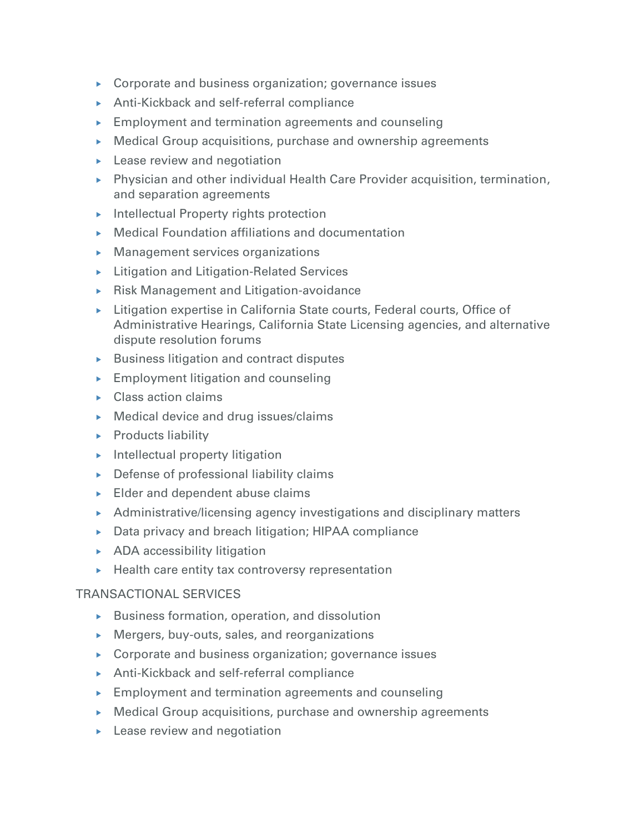- ▶ Corporate and business organization; governance issues
- Anti-Kickback and self-referral compliance
- $\blacktriangleright$  Employment and termination agreements and counseling
- Medical Group acquisitions, purchase and ownership agreements
- **Lease review and negotiation**
- Physician and other individual Health Care Provider acquisition, termination, and separation agreements
- **Intellectual Property rights protection**
- Medical Foundation affiliations and documentation
- $\blacktriangleright$  Management services organizations
- **Litigation and Litigation-Related Services**
- Risk Management and Litigation-avoidance
- $\triangleright$  Litigation expertise in California State courts, Federal courts, Office of Administrative Hearings, California State Licensing agencies, and alternative dispute resolution forums
- $\blacktriangleright$  Business litigation and contract disputes
- $\blacktriangleright$  Employment litigation and counseling
- $\triangleright$  Class action claims
- ▶ Medical device and drug issues/claims
- $\blacktriangleright$  Products liability
- $\blacktriangleright$  Intellectual property litigation
- $\triangleright$  Defense of professional liability claims
- Elder and dependent abuse claims
- $\blacktriangleright$  Administrative/licensing agency investigations and disciplinary matters
- ▶ Data privacy and breach litigation; HIPAA compliance
- ▶ ADA accessibility litigation
- $\blacktriangleright$  Health care entity tax controversy representation

#### TRANSACTIONAL SERVICES

- $\triangleright$  Business formation, operation, and dissolution
- Mergers, buy-outs, sales, and reorganizations
- ▶ Corporate and business organization; governance issues
- Anti-Kickback and self-referral compliance
- Employment and termination agreements and counseling
- Medical Group acquisitions, purchase and ownership agreements
- $\blacktriangleright$  Lease review and negotiation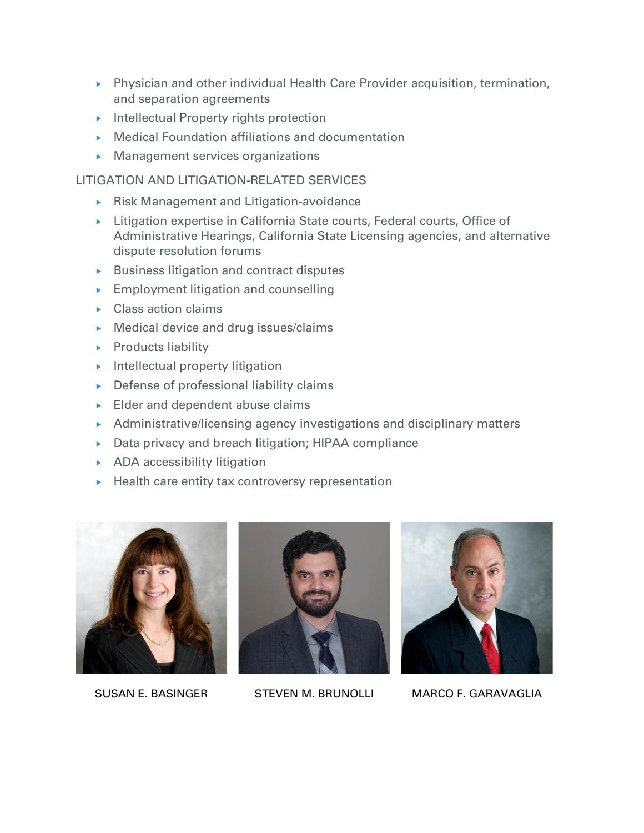- Physician and other individual Health Care Provider acquisition, termination, and separation agreements
- $\blacktriangleright$  Intellectual Property rights protection
- Medical Foundation affiliations and documentation
- **Management services organizations**

#### LITIGATION AND LITIGATION-RELATED SERVICES

- Risk Management and Litigation-avoidance
- ▶ Litigation expertise in California State courts, Federal courts, Office of Administrative Hearings, California State Licensing agencies, and alternative dispute resolution forums
- $\blacktriangleright$  Business litigation and contract disputes
- **Employment litigation and counselling**
- $\triangleright$  Class action claims
- **Medical device and drug issues/claims**
- $\blacktriangleright$  Products liability
- $\blacktriangleright$  Intellectual property litigation
- $\triangleright$  Defense of professional liability claims
- Elder and dependent abuse claims
- Administrative/licensing agency investigations and disciplinary matters
- Data privacy and breach litigation; HIPAA compliance
- **ADA** accessibility litigation
- $\blacktriangleright$  Health care entity tax controversy representation







SUSAN E. BASINGER STEVEN M. BRUNOLLI MARCO F. GARAVAGLIA